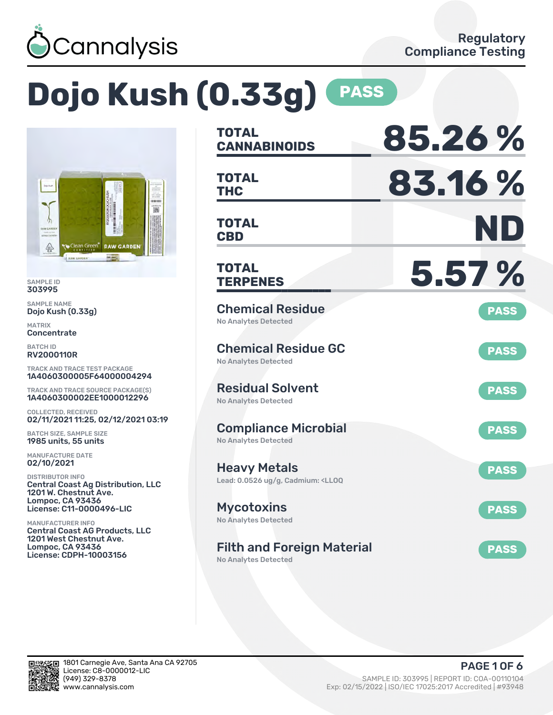

# **Dojo Kush (0.33g) PASS**



SAMPLE ID 303995

SAMPLE NAME Dojo Kush (0.33g)

MATRIX **Concentrate** 

BATCH ID RV2000110R

TRACK AND TRACE TEST PACKAGE 1A4060300005F64000004294

TRACK AND TRACE SOURCE PACKAGE(S) 1A4060300002EE1000012296

COLLECTED, RECEIVED 02/11/2021 11:25, 02/12/2021 03:19

BATCH SIZE, SAMPLE SIZE 1985 units, 55 units

MANUFACTURE DATE 02/10/2021

DISTRIBUTOR INFO Central Coast Ag Distribution, LLC 1201 W. Chestnut Ave. Lompoc, CA 93436 License: C11-0000496-LIC

MANUFACTURER INFO Central Coast AG Products, LLC 1201 West Chestnut Ave. Lompoc, CA 93436 License: CDPH-10003156

| <b>TOTAL</b><br><b>CANNABINOIDS</b>                                                          | 85.26%      |
|----------------------------------------------------------------------------------------------|-------------|
| <b>TOTAL</b><br><b>THC</b>                                                                   | 83.16%      |
| <b>TOTAL</b><br><b>CBD</b>                                                                   | ND          |
| <b>TOTAL</b><br><b>TERPENES</b>                                                              | 5.57 %      |
| <b>Chemical Residue</b><br><b>No Analytes Detected</b>                                       | <b>PASS</b> |
| <b>Chemical Residue GC</b><br><b>No Analytes Detected</b>                                    | <b>PASS</b> |
| <b>Residual Solvent</b><br><b>No Analytes Detected</b>                                       | <b>PASS</b> |
| <b>Compliance Microbial</b><br><b>No Analytes Detected</b>                                   | <b>PASS</b> |
| <b>Heavy Metals</b><br>Lead: 0.0526 ug/g, Cadmium: <ll0q< td=""><td><b>PASS</b></td></ll0q<> | <b>PASS</b> |
| <b>Mycotoxins</b><br>No Analytes Detected                                                    | <b>PASS</b> |
| <b>Filth and Foreign Material</b><br><b>No Analytes Detected</b>                             | <b>PASS</b> |

in.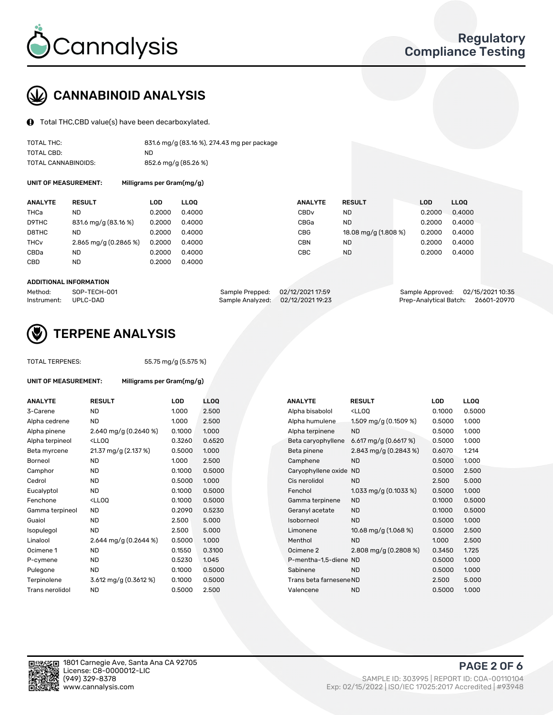

## CANNABINOID ANALYSIS

Total THC,CBD value(s) have been decarboxylated.

| TOTAL THC:          | 831.6 mg/g (83.16 %), 274.43 mg per package |
|---------------------|---------------------------------------------|
| TOTAL CBD:          | ND.                                         |
| TOTAL CANNABINOIDS: | 852.6 mg/g (85.26 %)                        |

UNIT OF MEASUREMENT: Milligrams per Gram(mg/g)

| <b>ANALYTE</b>         | <b>RESULT</b>           | LOD    | <b>LLOO</b> | <b>ANALYTE</b>   | <b>RESULT</b>        | <b>LOD</b> | <b>LLOO</b> |
|------------------------|-------------------------|--------|-------------|------------------|----------------------|------------|-------------|
| THCa                   | ND                      | 0.2000 | 0.4000      | CBD <sub>v</sub> | ND                   | 0.2000     | 0.4000      |
| D9THC                  | 831.6 mg/g (83.16 %)    | 0.2000 | 0.4000      | CBGa             | ND                   | 0.2000     | 0.4000      |
| D8THC                  | ND                      | 0.2000 | 0.4000      | <b>CBG</b>       | 18.08 mg/g (1.808 %) | 0.2000     | 0.4000      |
| <b>THC<sub>v</sub></b> | $2.865$ mg/g (0.2865 %) | 0.2000 | 0.4000      | <b>CBN</b>       | ND                   | 0.2000     | 0.4000      |
| CBDa                   | <b>ND</b>               | 0.2000 | 0.4000      | СВС              | <b>ND</b>            | 0.2000     | 0.4000      |
| CBD                    | <b>ND</b>               | 0.2000 | 0.4000      |                  |                      |            |             |
|                        |                         |        |             |                  |                      |            |             |

#### ADDITIONAL INFORMATION

| Method:              | SOP-TECH-001 | Sample Prepped: 02/12/2021 17:59  | Sample Approved: 02/15/2021 10:35  |  |
|----------------------|--------------|-----------------------------------|------------------------------------|--|
| Instrument: UPLC-DAD |              | Sample Analyzed: 02/12/2021 19:23 | Prep-Analytical Batch: 26601-20970 |  |



## TERPENE ANALYSIS

UNIT OF MEASUREMENT: Milligrams per Gram(mg/g)

| TUTAL TERPENES: |  |
|-----------------|--|
|                 |  |
|                 |  |

TOTAL TERPENES: 55.75 mg/g (5.575 %)

| <b>ANALYTE</b>  | <b>RESULT</b>                                                                                                                             | <b>LOD</b> | <b>LLOQ</b> | <b>ANALYTE</b>          | <b>RESULT</b>                                       | <b>LOD</b> | <b>LLOQ</b> |
|-----------------|-------------------------------------------------------------------------------------------------------------------------------------------|------------|-------------|-------------------------|-----------------------------------------------------|------------|-------------|
| 3-Carene        | <b>ND</b>                                                                                                                                 | 1.000      | 2.500       | Alpha bisabolol         | <ll0q< td=""><td>0.1000</td><td>0.5000</td></ll0q<> | 0.1000     | 0.5000      |
| Alpha cedrene   | <b>ND</b>                                                                                                                                 | 1.000      | 2.500       | Alpha humulene          | 1.509 mg/g (0.1509 %)                               | 0.5000     | 1.000       |
| Alpha pinene    | 2.640 mg/g $(0.2640\%)$                                                                                                                   | 0.1000     | 1.000       | Alpha terpinene         | <b>ND</b>                                           | 0.5000     | 1.000       |
| Alpha terpineol | <lloq< td=""><td>0.3260</td><td>0.6520</td><td>Beta caryophyllene</td><td>6.617 mg/g (0.6617 %)</td><td>0.5000</td><td>1.000</td></lloq<> | 0.3260     | 0.6520      | Beta caryophyllene      | 6.617 mg/g (0.6617 %)                               | 0.5000     | 1.000       |
| Beta myrcene    | 21.37 mg/g (2.137 %)                                                                                                                      | 0.5000     | 1.000       | Beta pinene             | 2.843 mg/g (0.2843 %)                               | 0.6070     | 1.214       |
| Borneol         | <b>ND</b>                                                                                                                                 | 1.000      | 2.500       | Camphene                | <b>ND</b>                                           | 0.5000     | 1.000       |
| Camphor         | <b>ND</b>                                                                                                                                 | 0.1000     | 0.5000      | Caryophyllene oxide ND  |                                                     | 0.5000     | 2.500       |
| Cedrol          | <b>ND</b>                                                                                                                                 | 0.5000     | 1.000       | Cis nerolidol           | <b>ND</b>                                           | 2.500      | 5.000       |
| Eucalyptol      | <b>ND</b>                                                                                                                                 | 0.1000     | 0.5000      | Fenchol                 | 1.033 mg/g $(0.1033\%)$                             | 0.5000     | 1.000       |
| Fenchone        | <lloq< td=""><td>0.1000</td><td>0.5000</td><td>Gamma terpinene</td><td><b>ND</b></td><td>0.1000</td><td>0.5000</td></lloq<>               | 0.1000     | 0.5000      | Gamma terpinene         | <b>ND</b>                                           | 0.1000     | 0.5000      |
| Gamma terpineol | <b>ND</b>                                                                                                                                 | 0.2090     | 0.5230      | Geranyl acetate         | <b>ND</b>                                           | 0.1000     | 0.5000      |
| Guaiol          | <b>ND</b>                                                                                                                                 | 2.500      | 5.000       | Isoborneol              | <b>ND</b>                                           | 0.5000     | 1.000       |
| Isopulegol      | <b>ND</b>                                                                                                                                 | 2.500      | 5.000       | Limonene                | 10.68 mg/g (1.068 %)                                | 0.5000     | 2.500       |
| Linalool        | 2.644 mg/g $(0.2644\%)$                                                                                                                   | 0.5000     | 1.000       | Menthol                 | <b>ND</b>                                           | 1.000      | 2.500       |
| Ocimene 1       | <b>ND</b>                                                                                                                                 | 0.1550     | 0.3100      | Ocimene 2               | 2.808 mg/g $(0.2808\%)$                             | 0.3450     | 1.725       |
| P-cymene        | ND.                                                                                                                                       | 0.5230     | 1.045       | P-mentha-1,5-diene ND   |                                                     | 0.5000     | 1.000       |
| Pulegone        | <b>ND</b>                                                                                                                                 | 0.1000     | 0.5000      | Sabinene                | <b>ND</b>                                           | 0.5000     | 1.000       |
| Terpinolene     | $3.612$ mg/g (0.3612 %)                                                                                                                   | 0.1000     | 0.5000      | Trans beta farnesene ND |                                                     | 2.500      | 5.000       |
| Trans nerolidol | <b>ND</b>                                                                                                                                 | 0.5000     | 2.500       | Valencene               | <b>ND</b>                                           | 0.5000     | 1.000       |
|                 |                                                                                                                                           |            |             |                         |                                                     |            |             |

| <b>ANALYTE</b>          | <b>RESULT</b>                                       | LOD    | <b>LLOO</b> |
|-------------------------|-----------------------------------------------------|--------|-------------|
| Alpha bisabolol         | <lloq< td=""><td>0.1000</td><td>0.5000</td></lloq<> | 0.1000 | 0.5000      |
| Alpha humulene          | 1.509 mg/g (0.1509 %)                               | 0.5000 | 1.000       |
| Alpha terpinene         | <b>ND</b>                                           | 0.5000 | 1.000       |
| Beta caryophyllene      | 6.617 mg/g $(0.6617%)$                              | 0.5000 | 1.000       |
| Beta pinene             | 2.843 mg/g (0.2843 %)                               | 0.6070 | 1.214       |
| Camphene                | <b>ND</b>                                           | 0.5000 | 1.000       |
| Caryophyllene oxide     | <b>ND</b>                                           | 0.5000 | 2.500       |
| Cis nerolidol           | <b>ND</b>                                           | 2.500  | 5.000       |
| Fenchol                 | 1.033 mg/g $(0.1033\%)$                             | 0.5000 | 1.000       |
| Gamma terpinene         | <b>ND</b>                                           | 0.1000 | 0.5000      |
| Geranyl acetate         | <b>ND</b>                                           | 0.1000 | 0.5000      |
| Isoborneol              | <b>ND</b>                                           | 0.5000 | 1.000       |
| Limonene                | 10.68 mg/g (1.068 %)                                | 0.5000 | 2.500       |
| Menthol                 | <b>ND</b>                                           | 1.000  | 2.500       |
| Ocimene <sub>2</sub>    | 2.808 mg/g (0.2808 %)                               | 0.3450 | 1.725       |
| P-mentha-1,5-diene ND   |                                                     | 0.5000 | 1.000       |
| Sabinene                | ND.                                                 | 0.5000 | 1.000       |
| Trans beta farnesene ND |                                                     | 2.500  | 5.000       |
| Valencene               | ND                                                  | 0.5000 | 1.000       |
|                         |                                                     |        |             |

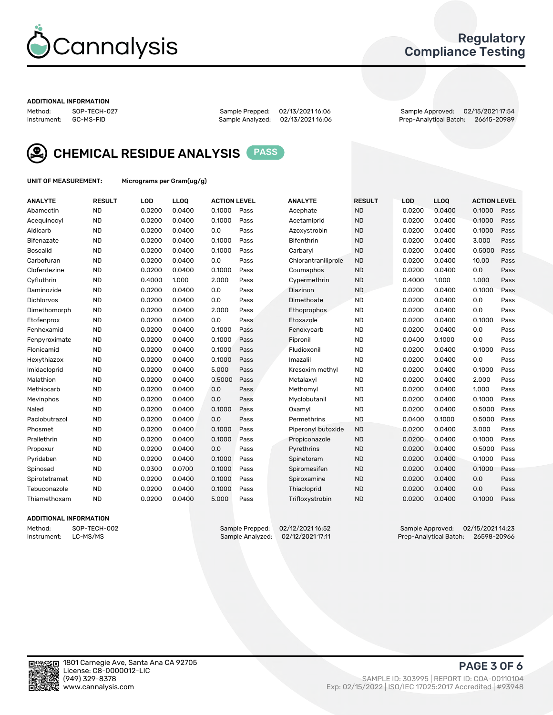

## Regulatory Compliance Testing

#### ADDITIONAL INFORMATION

Method: SOP-TECH-027 Sample Prepped: 02/13/2021 16:06 Sample Approved: 02/15/2021 17:54 Prep-Analytical Batch: 26615-20989



CHEMICAL RESIDUE ANALYSIS PASS

UNIT OF MEASUREMENT: Micrograms per Gram(ug/g)

| <b>ANALYTE</b>    | <b>RESULT</b> | LOD    | LLOQ   | <b>ACTION LEVEL</b> |      | <b>ANALYTE</b>      | <b>RESULT</b> | LOD    | <b>LLOQ</b> | <b>ACTION LEVEL</b> |      |
|-------------------|---------------|--------|--------|---------------------|------|---------------------|---------------|--------|-------------|---------------------|------|
| Abamectin         | <b>ND</b>     | 0.0200 | 0.0400 | 0.1000              | Pass | Acephate            | <b>ND</b>     | 0.0200 | 0.0400      | 0.1000              | Pass |
| Acequinocyl       | <b>ND</b>     | 0.0200 | 0.0400 | 0.1000              | Pass | Acetamiprid         | <b>ND</b>     | 0.0200 | 0.0400      | 0.1000              | Pass |
| Aldicarb          | <b>ND</b>     | 0.0200 | 0.0400 | 0.0                 | Pass | Azoxystrobin        | <b>ND</b>     | 0.0200 | 0.0400      | 0.1000              | Pass |
| Bifenazate        | <b>ND</b>     | 0.0200 | 0.0400 | 0.1000              | Pass | <b>Bifenthrin</b>   | <b>ND</b>     | 0.0200 | 0.0400      | 3.000               | Pass |
| <b>Boscalid</b>   | <b>ND</b>     | 0.0200 | 0.0400 | 0.1000              | Pass | Carbarvl            | <b>ND</b>     | 0.0200 | 0.0400      | 0.5000              | Pass |
| Carbofuran        | <b>ND</b>     | 0.0200 | 0.0400 | 0.0                 | Pass | Chlorantraniliprole | <b>ND</b>     | 0.0200 | 0.0400      | 10.00               | Pass |
| Clofentezine      | <b>ND</b>     | 0.0200 | 0.0400 | 0.1000              | Pass | Coumaphos           | <b>ND</b>     | 0.0200 | 0.0400      | 0.0                 | Pass |
| Cyfluthrin        | <b>ND</b>     | 0.4000 | 1.000  | 2.000               | Pass | Cypermethrin        | <b>ND</b>     | 0.4000 | 1.000       | 1.000               | Pass |
| Daminozide        | <b>ND</b>     | 0.0200 | 0.0400 | 0.0                 | Pass | Diazinon            | <b>ND</b>     | 0.0200 | 0.0400      | 0.1000              | Pass |
| <b>Dichlorvos</b> | <b>ND</b>     | 0.0200 | 0.0400 | 0.0                 | Pass | Dimethoate          | <b>ND</b>     | 0.0200 | 0.0400      | 0.0                 | Pass |
| Dimethomorph      | <b>ND</b>     | 0.0200 | 0.0400 | 2.000               | Pass | <b>Ethoprophos</b>  | <b>ND</b>     | 0.0200 | 0.0400      | 0.0                 | Pass |
| Etofenprox        | <b>ND</b>     | 0.0200 | 0.0400 | 0.0                 | Pass | Etoxazole           | <b>ND</b>     | 0.0200 | 0.0400      | 0.1000              | Pass |
| Fenhexamid        | <b>ND</b>     | 0.0200 | 0.0400 | 0.1000              | Pass | Fenoxycarb          | <b>ND</b>     | 0.0200 | 0.0400      | 0.0                 | Pass |
| Fenpyroximate     | <b>ND</b>     | 0.0200 | 0.0400 | 0.1000              | Pass | Fipronil            | <b>ND</b>     | 0.0400 | 0.1000      | 0.0                 | Pass |
| Flonicamid        | <b>ND</b>     | 0.0200 | 0.0400 | 0.1000              | Pass | Fludioxonil         | <b>ND</b>     | 0.0200 | 0.0400      | 0.1000              | Pass |
| Hexythiazox       | <b>ND</b>     | 0.0200 | 0.0400 | 0.1000              | Pass | Imazalil            | <b>ND</b>     | 0.0200 | 0.0400      | 0.0                 | Pass |
| Imidacloprid      | <b>ND</b>     | 0.0200 | 0.0400 | 5.000               | Pass | Kresoxim methyl     | <b>ND</b>     | 0.0200 | 0.0400      | 0.1000              | Pass |
| Malathion         | <b>ND</b>     | 0.0200 | 0.0400 | 0.5000              | Pass | Metalaxyl           | <b>ND</b>     | 0.0200 | 0.0400      | 2.000               | Pass |
| Methiocarb        | <b>ND</b>     | 0.0200 | 0.0400 | 0.0                 | Pass | Methomyl            | <b>ND</b>     | 0.0200 | 0.0400      | 1.000               | Pass |
| Mevinphos         | <b>ND</b>     | 0.0200 | 0.0400 | 0.0                 | Pass | Myclobutanil        | <b>ND</b>     | 0.0200 | 0.0400      | 0.1000              | Pass |
| Naled             | <b>ND</b>     | 0.0200 | 0.0400 | 0.1000              | Pass | Oxamyl              | <b>ND</b>     | 0.0200 | 0.0400      | 0.5000              | Pass |
| Paclobutrazol     | <b>ND</b>     | 0.0200 | 0.0400 | 0.0                 | Pass | Permethrins         | <b>ND</b>     | 0.0400 | 0.1000      | 0.5000              | Pass |
| Phosmet           | <b>ND</b>     | 0.0200 | 0.0400 | 0.1000              | Pass | Piperonyl butoxide  | <b>ND</b>     | 0.0200 | 0.0400      | 3.000               | Pass |
| Prallethrin       | <b>ND</b>     | 0.0200 | 0.0400 | 0.1000              | Pass | Propiconazole       | <b>ND</b>     | 0.0200 | 0.0400      | 0.1000              | Pass |
| Propoxur          | <b>ND</b>     | 0.0200 | 0.0400 | 0.0                 | Pass | Pyrethrins          | <b>ND</b>     | 0.0200 | 0.0400      | 0.5000              | Pass |
| Pyridaben         | <b>ND</b>     | 0.0200 | 0.0400 | 0.1000              | Pass | Spinetoram          | <b>ND</b>     | 0.0200 | 0.0400      | 0.1000              | Pass |
| Spinosad          | <b>ND</b>     | 0.0300 | 0.0700 | 0.1000              | Pass | Spiromesifen        | <b>ND</b>     | 0.0200 | 0.0400      | 0.1000              | Pass |
| Spirotetramat     | <b>ND</b>     | 0.0200 | 0.0400 | 0.1000              | Pass | Spiroxamine         | <b>ND</b>     | 0.0200 | 0.0400      | 0.0                 | Pass |
| Tebuconazole      | <b>ND</b>     | 0.0200 | 0.0400 | 0.1000              | Pass | Thiacloprid         | <b>ND</b>     | 0.0200 | 0.0400      | 0.0                 | Pass |
| Thiamethoxam      | <b>ND</b>     | 0.0200 | 0.0400 | 5.000               | Pass | Trifloxystrobin     | <b>ND</b>     | 0.0200 | 0.0400      | 0.1000              | Pass |

### ADDITIONAL INFORMATION

Method: SOP-TECH-002 Sample Prepped: 02/12/2021 16:52 Sample Approved: 02/15/2021 14:23 Prep-Analytical Batch: 26598-20966

PAGE 3 OF 6

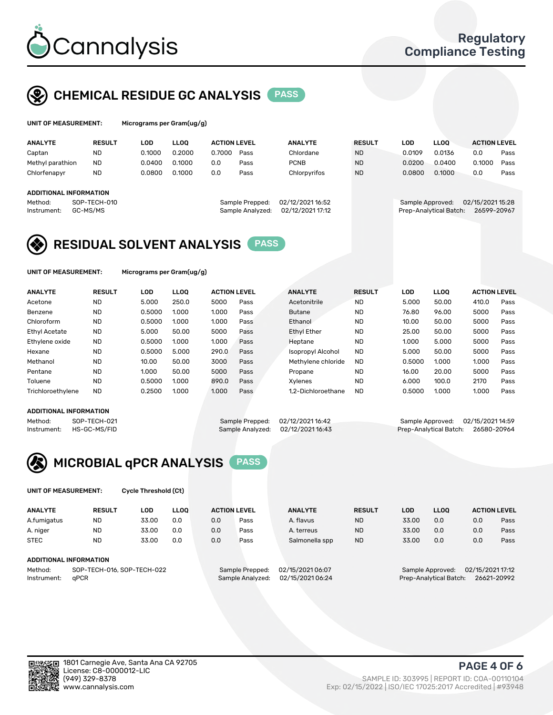

## CHEMICAL RESIDUE GC ANALYSIS PASS

| UNIT OF MEASUREMENT: | Microgra |
|----------------------|----------|
|                      |          |

ams per Gram(ug/g)

| <b>ANALYTE</b>         | <b>RESULT</b> | <b>LOD</b> | <b>LLOO</b> | <b>ACTION LEVEL</b> |                  | <b>ANALYTE</b>   | <b>RESULT</b> | LOD              | <b>LLOO</b>            | <b>ACTION LEVEL</b> |      |
|------------------------|---------------|------------|-------------|---------------------|------------------|------------------|---------------|------------------|------------------------|---------------------|------|
| Captan                 | <b>ND</b>     | 0.1000     | 0.2000      | 0.7000              | Pass             | Chlordane        | <b>ND</b>     | 0.0109           | 0.0136                 | 0.0                 | Pass |
| Methyl parathion       | <b>ND</b>     | 0.0400     | 0.1000      | 0.0                 | Pass             | <b>PCNB</b>      | <b>ND</b>     | 0.0200           | 0.0400                 | 0.1000              | Pass |
| Chlorfenapyr           | <b>ND</b>     | 0.0800     | 0.1000      | 0.0                 | Pass             | Chlorpyrifos     | <b>ND</b>     | 0.0800           | 0.1000                 | 0.0                 | Pass |
| ADDITIONAL INFORMATION |               |            |             |                     |                  |                  |               |                  |                        |                     |      |
| Method:                | SOP-TECH-010  |            |             |                     | Sample Prepped:  | 02/12/2021 16:52 |               | Sample Approved: |                        | 02/15/2021 15:28    |      |
| Instrument:            | GC-MS/MS      |            |             |                     | Sample Analyzed: | 02/12/2021 17:12 |               |                  | Prep-Analytical Batch: | 26599-20967         |      |

## RESIDUAL SOLVENT ANALYSIS PASS

UNIT OF MEASUREMENT: Micrograms per Gram(ug/g)

| <b>ANALYTE</b>       | <b>RESULT</b> | <b>LOD</b> | <b>LLOO</b> | <b>ACTION LEVEL</b> |      | <b>ANALYTE</b>           | <b>RESULT</b> | <b>LOD</b> | LLOO  | <b>ACTION LEVEL</b> |      |
|----------------------|---------------|------------|-------------|---------------------|------|--------------------------|---------------|------------|-------|---------------------|------|
| Acetone              | <b>ND</b>     | 5.000      | 250.0       | 5000                | Pass | Acetonitrile             | <b>ND</b>     | 5.000      | 50.00 | 410.0               | Pass |
| Benzene              | <b>ND</b>     | 0.5000     | 1.000       | 1.000               | Pass | <b>Butane</b>            | <b>ND</b>     | 76.80      | 96.00 | 5000                | Pass |
| Chloroform           | <b>ND</b>     | 0.5000     | 1.000       | 1.000               | Pass | Ethanol                  | <b>ND</b>     | 10.00      | 50.00 | 5000                | Pass |
| <b>Ethyl Acetate</b> | <b>ND</b>     | 5.000      | 50.00       | 5000                | Pass | <b>Ethyl Ether</b>       | <b>ND</b>     | 25.00      | 50.00 | 5000                | Pass |
| Ethylene oxide       | <b>ND</b>     | 0.5000     | 1.000       | 1.000               | Pass | Heptane                  | <b>ND</b>     | 1.000      | 5.000 | 5000                | Pass |
| Hexane               | <b>ND</b>     | 0.5000     | 5.000       | 290.0               | Pass | <b>Isopropyl Alcohol</b> | <b>ND</b>     | 5.000      | 50.00 | 5000                | Pass |
| Methanol             | <b>ND</b>     | 10.00      | 50.00       | 3000                | Pass | Methylene chloride       | <b>ND</b>     | 0.5000     | 1.000 | 1.000               | Pass |
| Pentane              | <b>ND</b>     | 1.000      | 50.00       | 5000                | Pass | Propane                  | <b>ND</b>     | 16.00      | 20.00 | 5000                | Pass |
| Toluene              | <b>ND</b>     | 0.5000     | 1.000       | 890.0               | Pass | Xvlenes                  | <b>ND</b>     | 6.000      | 100.0 | 2170                | Pass |
| Trichloroethylene    | <b>ND</b>     | 0.2500     | 1.000       | 1.000               | Pass | 1.2-Dichloroethane       | <b>ND</b>     | 0.5000     | 1.000 | 1.000               | Pass |

#### ADDITIONAL INFORMATION

Method: SOP-TECH-021 Sample Prepped: 02/12/2021 16:42 Sample Approved: 02/15/2021 14:59<br>Instrument: HS-GC-MS/FID Sample Analyzed: 02/12/2021 16:43 Prep-Analytical Batch: 26580-20964 Prep-Analytical Batch: 26580-20964



UNIT OF MEASUREMENT: Cycle Threshold (Ct)

| <b>ANALYTE</b>                        | <b>RESULT</b> | LOD   | <b>LLOO</b> | <b>ACTION LEVEL</b> |                  | <b>ANALYTE</b>   | <b>RESULT</b>                        | LOD   | <b>LLOO</b>            |     | <b>ACTION LEVEL</b> |
|---------------------------------------|---------------|-------|-------------|---------------------|------------------|------------------|--------------------------------------|-------|------------------------|-----|---------------------|
| A.fumigatus                           | <b>ND</b>     | 33.00 | 0.0         | 0.0                 | Pass             | A. flavus        | <b>ND</b>                            | 33.00 | 0.0                    | 0.0 | Pass                |
| A. niger                              | <b>ND</b>     | 33.00 | 0.0         | 0.0                 | Pass             | A. terreus       | <b>ND</b>                            | 33.00 | 0.0                    | 0.0 | Pass                |
| <b>STEC</b>                           | <b>ND</b>     | 33.00 | 0.0         | 0.0                 | Pass             | Salmonella spp   | <b>ND</b>                            | 33.00 | 0.0                    | 0.0 | Pass                |
| ADDITIONAL INFORMATION                |               |       |             |                     |                  |                  |                                      |       |                        |     |                     |
| SOP-TECH-016, SOP-TECH-022<br>Method: |               |       |             | Sample Prepped:     | 02/15/2021 06:07 |                  | 02/15/2021 17:12<br>Sample Approved: |       |                        |     |                     |
| Instrument:                           | aPCR          |       |             |                     | Sample Analyzed: | 02/15/2021 06:24 |                                      |       | Prep-Analytical Batch: |     | 26621-20992         |

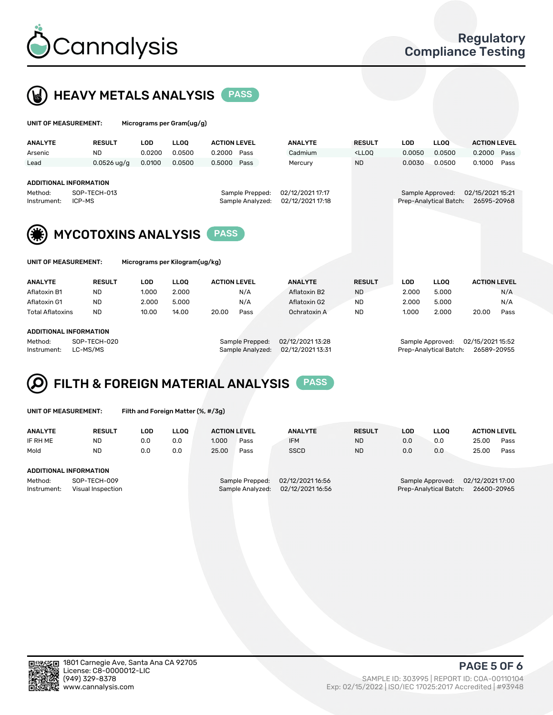



| UNIT OF MEASUREMENT:          |                        | Micrograms per Gram(ug/g) |             |                                     |                                      |                                                                                 |        |                                            |                                 |      |
|-------------------------------|------------------------|---------------------------|-------------|-------------------------------------|--------------------------------------|---------------------------------------------------------------------------------|--------|--------------------------------------------|---------------------------------|------|
| <b>ANALYTE</b>                | <b>RESULT</b>          | LOD                       | <b>LLOO</b> | <b>ACTION LEVEL</b>                 | <b>ANALYTE</b>                       | <b>RESULT</b>                                                                   | LOD    | <b>LLOO</b>                                | <b>ACTION LEVEL</b>             |      |
| Arsenic                       | <b>ND</b>              | 0.0200                    | 0.0500      | 0.2000<br>Pass                      | Cadmium                              | <lloq< td=""><td>0.0050</td><td>0.0500</td><td>0.2000</td><td>Pass</td></lloq<> | 0.0050 | 0.0500                                     | 0.2000                          | Pass |
| Lead                          | $0.0526$ ug/g          | 0.0100                    | 0.0500      | 0.5000<br>Pass                      | Mercury                              | <b>ND</b>                                                                       | 0.0030 | 0.0500                                     | 0.1000                          | Pass |
| <b>ADDITIONAL INFORMATION</b> |                        |                           |             |                                     |                                      |                                                                                 |        |                                            |                                 |      |
| Method:<br>Instrument:        | SOP-TECH-013<br>ICP-MS |                           |             | Sample Prepped:<br>Sample Analyzed: | 02/12/2021 17:17<br>02/12/2021 17:18 |                                                                                 |        | Sample Approved:<br>Prep-Analytical Batch: | 02/15/2021 15:21<br>26595-20968 |      |



MYCOTOXINS ANALYSIS PASS

Micrograms per Kilogram(ug/kg)

| <b>ANALYTE</b>          | <b>RESULT</b> | LOD.  | <b>LLOO</b> | <b>ACTION LEVEL</b> |      | <b>ANALYTE</b> | <b>RESULT</b> | LOD   | <b>LLOO</b> | <b>ACTION LEVEL</b> |      |
|-------------------------|---------------|-------|-------------|---------------------|------|----------------|---------------|-------|-------------|---------------------|------|
| Aflatoxin B1            | <b>ND</b>     | 1.000 | 2.000       |                     | N/A  | Aflatoxin B2   | <b>ND</b>     | 2.000 | 5.000       |                     | N/A  |
| Aflatoxin G1            | <b>ND</b>     | 2.000 | 5.000       |                     | N/A  | Aflatoxin G2   | <b>ND</b>     | 2.000 | 5.000       |                     | N/A  |
| <b>Total Aflatoxins</b> | <b>ND</b>     | 10.00 | 14.00       | 20.00               | Pass | Ochratoxin A   | <b>ND</b>     | 1.000 | 2.000       | 20.00               | Pass |
|                         |               |       |             |                     |      |                |               |       |             |                     |      |

#### ADDITIONAL INFORMATION

Method: SOP-TECH-020 Sample Prepped: 02/12/2021 13:28 Sample Approved: 02/15/2021 15:52 Instrument: LC-MS/MS Sample Analyzed: 02/12/2021 13:31 Prep-Analytical Batch: 26589-20955

# FILTH & FOREIGN MATERIAL ANALYSIS PASS

UNIT OF MEASUREMENT: Filth and Foreign Matter (%, #/3g)

| <b>ANALYTE</b>                   | <b>RESULT</b> | LOD | LLOO | <b>ACTION LEVEL</b>                 |                  | <b>ANALYTE</b>   | <b>RESULT</b>                         | LOD                                  | LLOO | <b>ACTION LEVEL</b> |      |
|----------------------------------|---------------|-----|------|-------------------------------------|------------------|------------------|---------------------------------------|--------------------------------------|------|---------------------|------|
| IF RH ME                         | ND            | 0.0 | 0.0  | 1.000                               | Pass             | <b>IFM</b>       | <b>ND</b>                             | 0.0                                  | 0.0  | 25.00               | Pass |
| Mold                             | <b>ND</b>     | 0.0 | 0.0  | 25.00                               | Pass             | <b>SSCD</b>      | <b>ND</b>                             | 0.0                                  | 0.0  | 25.00               | Pass |
|                                  |               |     |      |                                     |                  |                  |                                       |                                      |      |                     |      |
| ADDITIONAL INFORMATION           |               |     |      |                                     |                  |                  |                                       |                                      |      |                     |      |
| SOP-TECH-009<br>Method:          |               |     |      | 02/12/2021 16:56<br>Sample Prepped: |                  |                  |                                       | 02/12/2021 17:00<br>Sample Approved: |      |                     |      |
| Instrument:<br>Visual Inspection |               |     |      |                                     | Sample Analyzed: | 02/12/2021 16:56 | Prep-Analytical Batch:<br>26600-20965 |                                      |      |                     |      |



PAGE 5 OF 6